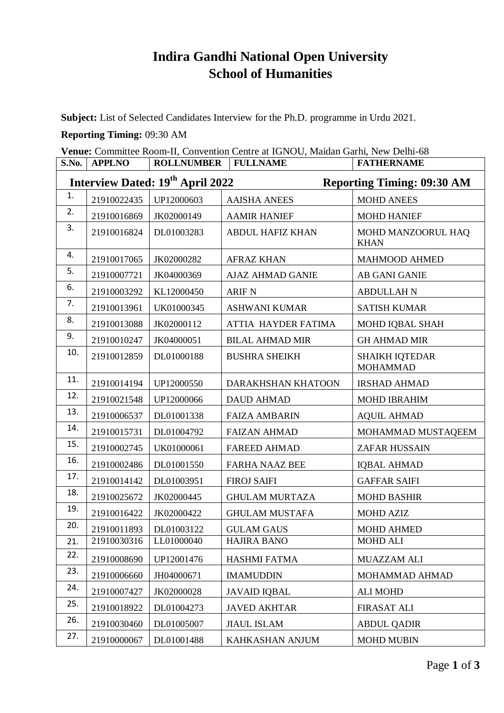## **Indira Gandhi National Open University School of Humanities**

**Subject:** List of Selected Candidates Interview for the Ph.D. programme in Urdu 2021.

## **Reporting Timing:** 09:30 AM

**Venue:** Committee Room-II, Convention Centre at IGNOU, Maidan Garhi, New Delhi-68

| S.No.                                                                             | <b>APPLNO</b> | <b>ROLLNUMBER</b> | <b>FULLNAME</b>         | <b>FATHERNAME</b>                        |  |  |  |
|-----------------------------------------------------------------------------------|---------------|-------------------|-------------------------|------------------------------------------|--|--|--|
| Interview Dated: 19 <sup>th</sup> April 2022<br><b>Reporting Timing: 09:30 AM</b> |               |                   |                         |                                          |  |  |  |
| 1.                                                                                | 21910022435   | UP12000603        | <b>AAISHA ANEES</b>     | <b>MOHD ANEES</b>                        |  |  |  |
| 2.                                                                                | 21910016869   | JK02000149        | <b>AAMIR HANIEF</b>     | <b>MOHD HANIEF</b>                       |  |  |  |
| 3.                                                                                | 21910016824   | DL01003283        | <b>ABDUL HAFIZ KHAN</b> | MOHD MANZOORUL HAQ<br><b>KHAN</b>        |  |  |  |
| 4.                                                                                | 21910017065   | JK02000282        | <b>AFRAZ KHAN</b>       | <b>MAHMOOD AHMED</b>                     |  |  |  |
| 5.                                                                                | 21910007721   | JK04000369        | <b>AJAZ AHMAD GANIE</b> | AB GANI GANIE                            |  |  |  |
| 6.                                                                                | 21910003292   | KL12000450        | <b>ARIF N</b>           | <b>ABDULLAH N</b>                        |  |  |  |
| 7.                                                                                | 21910013961   | UK01000345        | <b>ASHWANI KUMAR</b>    | <b>SATISH KUMAR</b>                      |  |  |  |
| 8.                                                                                | 21910013088   | JK02000112        | ATTIA HAYDER FATIMA     | MOHD IQBAL SHAH                          |  |  |  |
| 9.                                                                                | 21910010247   | JK04000051        | <b>BILAL AHMAD MIR</b>  | <b>GH AHMAD MIR</b>                      |  |  |  |
| 10.                                                                               | 21910012859   | DL01000188        | <b>BUSHRA SHEIKH</b>    | <b>SHAIKH IQTEDAR</b><br><b>MOHAMMAD</b> |  |  |  |
| 11.                                                                               | 21910014194   | UP12000550        | DARAKHSHAN KHATOON      | <b>IRSHAD AHMAD</b>                      |  |  |  |
| 12.                                                                               | 21910021548   | UP12000066        | <b>DAUD AHMAD</b>       | <b>MOHD IBRAHIM</b>                      |  |  |  |
| 13.                                                                               | 21910006537   | DL01001338        | <b>FAIZA AMBARIN</b>    | <b>AQUIL AHMAD</b>                       |  |  |  |
| 14.                                                                               | 21910015731   | DL01004792        | <b>FAIZAN AHMAD</b>     | MOHAMMAD MUSTAQEEM                       |  |  |  |
| 15.                                                                               | 21910002745   | UK01000061        | <b>FAREED AHMAD</b>     | <b>ZAFAR HUSSAIN</b>                     |  |  |  |
| 16.                                                                               | 21910002486   | DL01001550        | <b>FARHA NAAZ BEE</b>   | <b>IQBAL AHMAD</b>                       |  |  |  |
| 17.                                                                               | 21910014142   | DL01003951        | <b>FIROJ SAIFI</b>      | <b>GAFFAR SAIFI</b>                      |  |  |  |
| 18.                                                                               | 21910025672   | JK02000445        | <b>GHULAM MURTAZA</b>   | <b>MOHD BASHIR</b>                       |  |  |  |
| 19.                                                                               | 21910016422   | JK02000422        | <b>GHULAM MUSTAFA</b>   | <b>MOHD AZIZ</b>                         |  |  |  |
| 20.                                                                               | 21910011893   | DL01003122        | <b>GULAM GAUS</b>       | <b>MOHD AHMED</b>                        |  |  |  |
| 21.                                                                               | 21910030316   | LL01000040        | <b>HAJIRA BANO</b>      | <b>MOHD ALI</b>                          |  |  |  |
| 22.                                                                               | 21910008690   | UP12001476        | <b>HASHMI FATMA</b>     | <b>MUAZZAM ALI</b>                       |  |  |  |
| 23.                                                                               | 21910006660   | JH04000671        | <b>IMAMUDDIN</b>        | MOHAMMAD AHMAD                           |  |  |  |
| 24.                                                                               | 21910007427   | JK02000028        | <b>JAVAID IQBAL</b>     | <b>ALI MOHD</b>                          |  |  |  |
| 25.                                                                               | 21910018922   | DL01004273        | <b>JAVED AKHTAR</b>     | <b>FIRASAT ALI</b>                       |  |  |  |
| 26.                                                                               | 21910030460   | DL01005007        | <b>JIAUL ISLAM</b>      | <b>ABDUL QADIR</b>                       |  |  |  |
| 27.                                                                               | 21910000067   | DL01001488        | KAHKASHAN ANJUM         | <b>MOHD MUBIN</b>                        |  |  |  |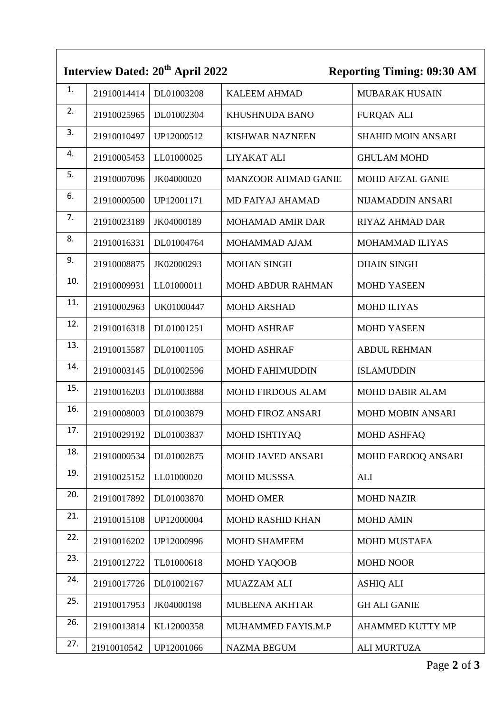|     |             | Interview Dated: 20 <sup>th</sup> April 2022 |                            | <b>Reporting Timing: 09:30 AM</b> |
|-----|-------------|----------------------------------------------|----------------------------|-----------------------------------|
| 1.  | 21910014414 | DL01003208                                   | <b>KALEEM AHMAD</b>        | <b>MUBARAK HUSAIN</b>             |
| 2.  | 21910025965 | DL01002304                                   | <b>KHUSHNUDA BANO</b>      | <b>FURQAN ALI</b>                 |
| 3.  | 21910010497 | UP12000512                                   | <b>KISHWAR NAZNEEN</b>     | <b>SHAHID MOIN ANSARI</b>         |
| 4.  | 21910005453 | LL01000025                                   | LIYAKAT ALI                | <b>GHULAM MOHD</b>                |
| 5.  | 21910007096 | JK04000020                                   | <b>MANZOOR AHMAD GANIE</b> | <b>MOHD AFZAL GANIE</b>           |
| 6.  | 21910000500 | UP12001171                                   | <b>MD FAIYAJ AHAMAD</b>    | NIJAMADDIN ANSARI                 |
| 7.  | 21910023189 | JK04000189                                   | <b>MOHAMAD AMIR DAR</b>    | <b>RIYAZ AHMAD DAR</b>            |
| 8.  | 21910016331 | DL01004764                                   | MOHAMMAD AJAM              | MOHAMMAD ILIYAS                   |
| 9.  | 21910008875 | JK02000293                                   | <b>MOHAN SINGH</b>         | <b>DHAIN SINGH</b>                |
| 10. | 21910009931 | LL01000011                                   | MOHD ABDUR RAHMAN          | <b>MOHD YASEEN</b>                |
| 11. | 21910002963 | UK01000447                                   | <b>MOHD ARSHAD</b>         | <b>MOHD ILIYAS</b>                |
| 12. | 21910016318 | DL01001251                                   | <b>MOHD ASHRAF</b>         | <b>MOHD YASEEN</b>                |
| 13. | 21910015587 | DL01001105                                   | <b>MOHD ASHRAF</b>         | <b>ABDUL REHMAN</b>               |
| 14. | 21910003145 | DL01002596                                   | <b>MOHD FAHIMUDDIN</b>     | <b>ISLAMUDDIN</b>                 |
| 15. | 21910016203 | DL01003888                                   | <b>MOHD FIRDOUS ALAM</b>   | <b>MOHD DABIR ALAM</b>            |
| 16. | 21910008003 | DL01003879                                   | <b>MOHD FIROZ ANSARI</b>   | <b>MOHD MOBIN ANSARI</b>          |
| 17. | 21910029192 | DL01003837                                   | <b>MOHD ISHTIYAQ</b>       | <b>MOHD ASHFAQ</b>                |
| 18. | 21910000534 | DL01002875                                   | <b>MOHD JAVED ANSARI</b>   | MOHD FAROOQ ANSARI                |
| 19. | 21910025152 | LL01000020                                   | <b>MOHD MUSSSA</b>         | <b>ALI</b>                        |
| 20. | 21910017892 | DL01003870                                   | <b>MOHD OMER</b>           | <b>MOHD NAZIR</b>                 |
| 21. | 21910015108 | UP12000004                                   | <b>MOHD RASHID KHAN</b>    | <b>MOHD AMIN</b>                  |
| 22. | 21910016202 | UP12000996                                   | <b>MOHD SHAMEEM</b>        | <b>MOHD MUSTAFA</b>               |
| 23. | 21910012722 | TL01000618                                   | <b>MOHD YAQOOB</b>         | <b>MOHD NOOR</b>                  |
| 24. | 21910017726 | DL01002167                                   | MUAZZAM ALI                | <b>ASHIQ ALI</b>                  |
| 25. | 21910017953 | JK04000198                                   | MUBEENA AKHTAR             | <b>GH ALI GANIE</b>               |
| 26. | 21910013814 | KL12000358                                   | MUHAMMED FAYIS.M.P         | AHAMMED KUTTY MP                  |
| 27. | 21910010542 | UP12001066                                   | <b>NAZMA BEGUM</b>         | <b>ALI MURTUZA</b>                |

 $\overline{\phantom{a}}$